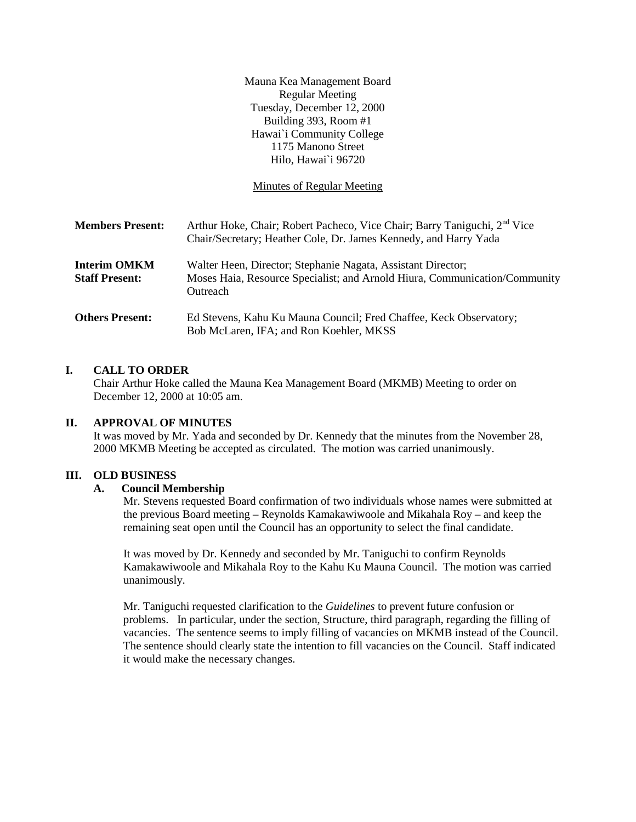Mauna Kea Management Board Regular Meeting Tuesday, December 12, 2000 Building 393, Room #1 Hawai`i Community College 1175 Manono Street Hilo, Hawai`i 96720

Minutes of Regular Meeting

| <b>Members Present:</b>                      | Arthur Hoke, Chair; Robert Pacheco, Vice Chair; Barry Taniguchi, 2 <sup>nd</sup> Vice<br>Chair/Secretary; Heather Cole, Dr. James Kennedy, and Harry Yada |
|----------------------------------------------|-----------------------------------------------------------------------------------------------------------------------------------------------------------|
| <b>Interim OMKM</b><br><b>Staff Present:</b> | Walter Heen, Director; Stephanie Nagata, Assistant Director;<br>Moses Haia, Resource Specialist; and Arnold Hiura, Communication/Community<br>Outreach    |
| <b>Others Present:</b>                       | Ed Stevens, Kahu Ku Mauna Council; Fred Chaffee, Keck Observatory;<br>Bob McLaren, IFA; and Ron Koehler, MKSS                                             |

# **I. CALL TO ORDER**

Chair Arthur Hoke called the Mauna Kea Management Board (MKMB) Meeting to order on December 12, 2000 at 10:05 am.

#### **II. APPROVAL OF MINUTES**

It was moved by Mr. Yada and seconded by Dr. Kennedy that the minutes from the November 28, 2000 MKMB Meeting be accepted as circulated. The motion was carried unanimously.

#### **III. OLD BUSINESS**

#### **A. Council Membership**

Mr. Stevens requested Board confirmation of two individuals whose names were submitted at the previous Board meeting – Reynolds Kamakawiwoole and Mikahala Roy – and keep the remaining seat open until the Council has an opportunity to select the final candidate.

It was moved by Dr. Kennedy and seconded by Mr. Taniguchi to confirm Reynolds Kamakawiwoole and Mikahala Roy to the Kahu Ku Mauna Council. The motion was carried unanimously.

Mr. Taniguchi requested clarification to the *Guidelines* to prevent future confusion or problems. In particular, under the section, Structure, third paragraph, regarding the filling of vacancies. The sentence seems to imply filling of vacancies on MKMB instead of the Council. The sentence should clearly state the intention to fill vacancies on the Council. Staff indicated it would make the necessary changes.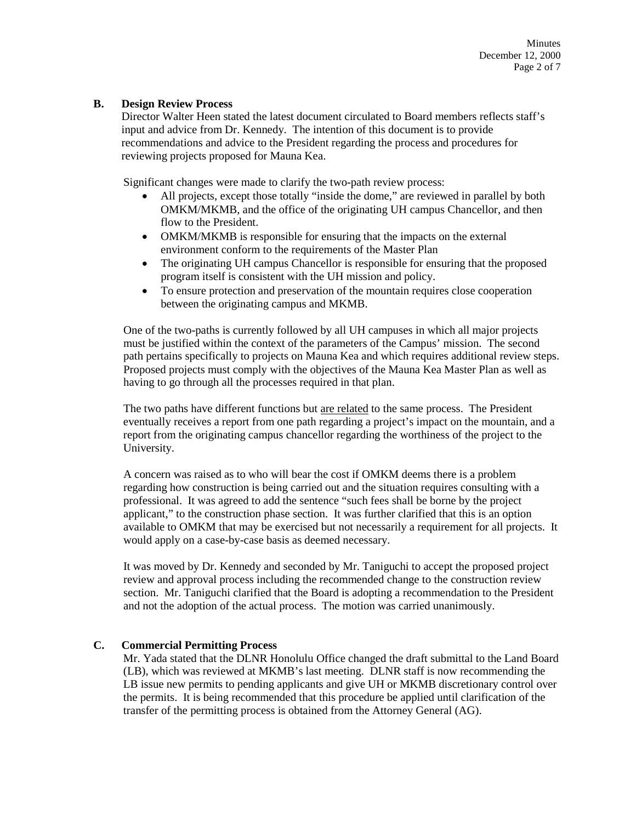Minutes December 12, 2000 Page 2 of 7

#### **B. Design Review Process**

Director Walter Heen stated the latest document circulated to Board members reflects staff's input and advice from Dr. Kennedy. The intention of this document is to provide recommendations and advice to the President regarding the process and procedures for reviewing projects proposed for Mauna Kea.

Significant changes were made to clarify the two-path review process:

- All projects, except those totally "inside the dome," are reviewed in parallel by both OMKM/MKMB, and the office of the originating UH campus Chancellor, and then flow to the President.
- OMKM/MKMB is responsible for ensuring that the impacts on the external environment conform to the requirements of the Master Plan
- The originating UH campus Chancellor is responsible for ensuring that the proposed program itself is consistent with the UH mission and policy.
- To ensure protection and preservation of the mountain requires close cooperation between the originating campus and MKMB.

One of the two-paths is currently followed by all UH campuses in which all major projects must be justified within the context of the parameters of the Campus' mission. The second path pertains specifically to projects on Mauna Kea and which requires additional review steps. Proposed projects must comply with the objectives of the Mauna Kea Master Plan as well as having to go through all the processes required in that plan.

The two paths have different functions but are related to the same process. The President eventually receives a report from one path regarding a project's impact on the mountain, and a report from the originating campus chancellor regarding the worthiness of the project to the University.

A concern was raised as to who will bear the cost if OMKM deems there is a problem regarding how construction is being carried out and the situation requires consulting with a professional. It was agreed to add the sentence "such fees shall be borne by the project applicant," to the construction phase section. It was further clarified that this is an option available to OMKM that may be exercised but not necessarily a requirement for all projects. It would apply on a case-by-case basis as deemed necessary.

It was moved by Dr. Kennedy and seconded by Mr. Taniguchi to accept the proposed project review and approval process including the recommended change to the construction review section. Mr. Taniguchi clarified that the Board is adopting a recommendation to the President and not the adoption of the actual process. The motion was carried unanimously.

# **C. Commercial Permitting Process**

Mr. Yada stated that the DLNR Honolulu Office changed the draft submittal to the Land Board (LB), which was reviewed at MKMB's last meeting. DLNR staff is now recommending the LB issue new permits to pending applicants and give UH or MKMB discretionary control over the permits. It is being recommended that this procedure be applied until clarification of the transfer of the permitting process is obtained from the Attorney General (AG).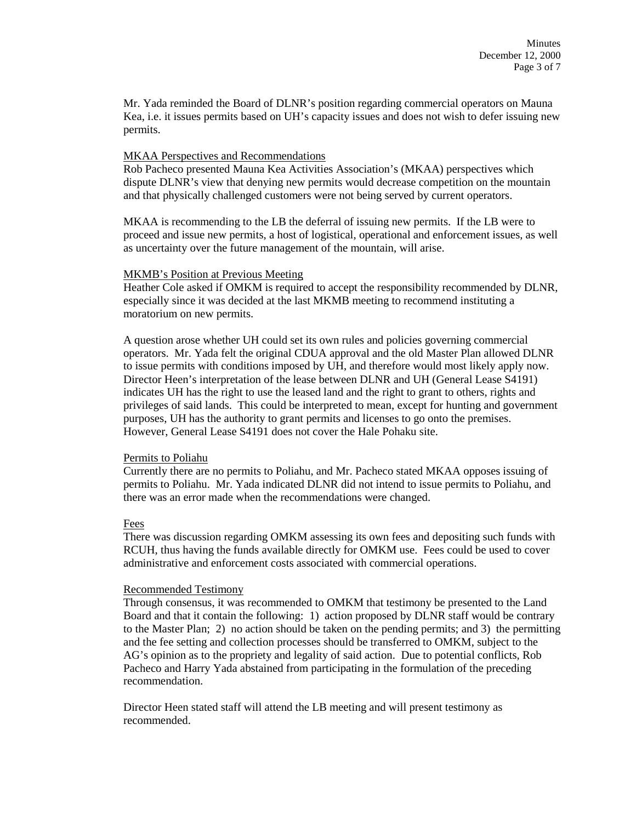Mr. Yada reminded the Board of DLNR's position regarding commercial operators on Mauna Kea, i.e. it issues permits based on UH's capacity issues and does not wish to defer issuing new permits.

# MKAA Perspectives and Recommendations

Rob Pacheco presented Mauna Kea Activities Association's (MKAA) perspectives which dispute DLNR's view that denying new permits would decrease competition on the mountain and that physically challenged customers were not being served by current operators.

MKAA is recommending to the LB the deferral of issuing new permits. If the LB were to proceed and issue new permits, a host of logistical, operational and enforcement issues, as well as uncertainty over the future management of the mountain, will arise.

#### MKMB's Position at Previous Meeting

Heather Cole asked if OMKM is required to accept the responsibility recommended by DLNR, especially since it was decided at the last MKMB meeting to recommend instituting a moratorium on new permits.

A question arose whether UH could set its own rules and policies governing commercial operators. Mr. Yada felt the original CDUA approval and the old Master Plan allowed DLNR to issue permits with conditions imposed by UH, and therefore would most likely apply now. Director Heen's interpretation of the lease between DLNR and UH (General Lease S4191) indicates UH has the right to use the leased land and the right to grant to others, rights and privileges of said lands. This could be interpreted to mean, except for hunting and government purposes, UH has the authority to grant permits and licenses to go onto the premises. However, General Lease S4191 does not cover the Hale Pohaku site.

# Permits to Poliahu

Currently there are no permits to Poliahu, and Mr. Pacheco stated MKAA opposes issuing of permits to Poliahu. Mr. Yada indicated DLNR did not intend to issue permits to Poliahu, and there was an error made when the recommendations were changed.

# Fees

There was discussion regarding OMKM assessing its own fees and depositing such funds with RCUH, thus having the funds available directly for OMKM use. Fees could be used to cover administrative and enforcement costs associated with commercial operations.

# Recommended Testimony

Through consensus, it was recommended to OMKM that testimony be presented to the Land Board and that it contain the following: 1) action proposed by DLNR staff would be contrary to the Master Plan; 2) no action should be taken on the pending permits; and 3) the permitting and the fee setting and collection processes should be transferred to OMKM, subject to the AG's opinion as to the propriety and legality of said action. Due to potential conflicts, Rob Pacheco and Harry Yada abstained from participating in the formulation of the preceding recommendation.

Director Heen stated staff will attend the LB meeting and will present testimony as recommended.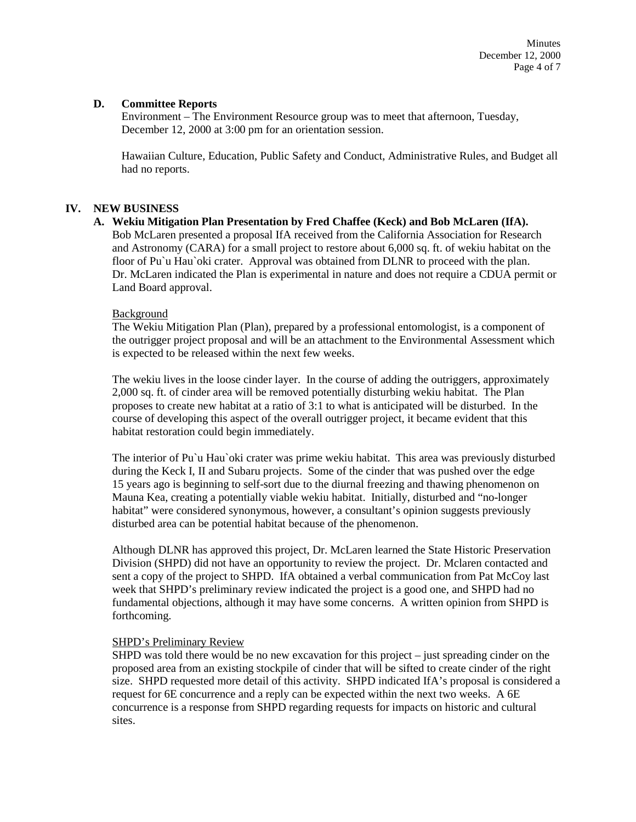# **D. Committee Reports**

Environment – The Environment Resource group was to meet that afternoon, Tuesday, December 12, 2000 at 3:00 pm for an orientation session.

Hawaiian Culture, Education, Public Safety and Conduct, Administrative Rules, and Budget all had no reports.

# **IV. NEW BUSINESS**

#### **A. Wekiu Mitigation Plan Presentation by Fred Chaffee (Keck) and Bob McLaren (IfA).**

Bob McLaren presented a proposal IfA received from the California Association for Research and Astronomy (CARA) for a small project to restore about 6,000 sq. ft. of wekiu habitat on the floor of Pu'u Hau'oki crater. Approval was obtained from DLNR to proceed with the plan. Dr. McLaren indicated the Plan is experimental in nature and does not require a CDUA permit or Land Board approval.

# Background

The Wekiu Mitigation Plan (Plan), prepared by a professional entomologist, is a component of the outrigger project proposal and will be an attachment to the Environmental Assessment which is expected to be released within the next few weeks.

The wekiu lives in the loose cinder layer. In the course of adding the outriggers, approximately 2,000 sq. ft. of cinder area will be removed potentially disturbing wekiu habitat. The Plan proposes to create new habitat at a ratio of 3:1 to what is anticipated will be disturbed. In the course of developing this aspect of the overall outrigger project, it became evident that this habitat restoration could begin immediately.

The interior of Pu`u Hau`oki crater was prime wekiu habitat. This area was previously disturbed during the Keck I, II and Subaru projects. Some of the cinder that was pushed over the edge 15 years ago is beginning to self-sort due to the diurnal freezing and thawing phenomenon on Mauna Kea, creating a potentially viable wekiu habitat. Initially, disturbed and "no-longer habitat" were considered synonymous, however, a consultant's opinion suggests previously disturbed area can be potential habitat because of the phenomenon.

Although DLNR has approved this project, Dr. McLaren learned the State Historic Preservation Division (SHPD) did not have an opportunity to review the project. Dr. Mclaren contacted and sent a copy of the project to SHPD. IfA obtained a verbal communication from Pat McCoy last week that SHPD's preliminary review indicated the project is a good one, and SHPD had no fundamental objections, although it may have some concerns. A written opinion from SHPD is forthcoming.

# SHPD's Preliminary Review

SHPD was told there would be no new excavation for this project – just spreading cinder on the proposed area from an existing stockpile of cinder that will be sifted to create cinder of the right size. SHPD requested more detail of this activity. SHPD indicated IfA's proposal is considered a request for 6E concurrence and a reply can be expected within the next two weeks. A 6E concurrence is a response from SHPD regarding requests for impacts on historic and cultural sites.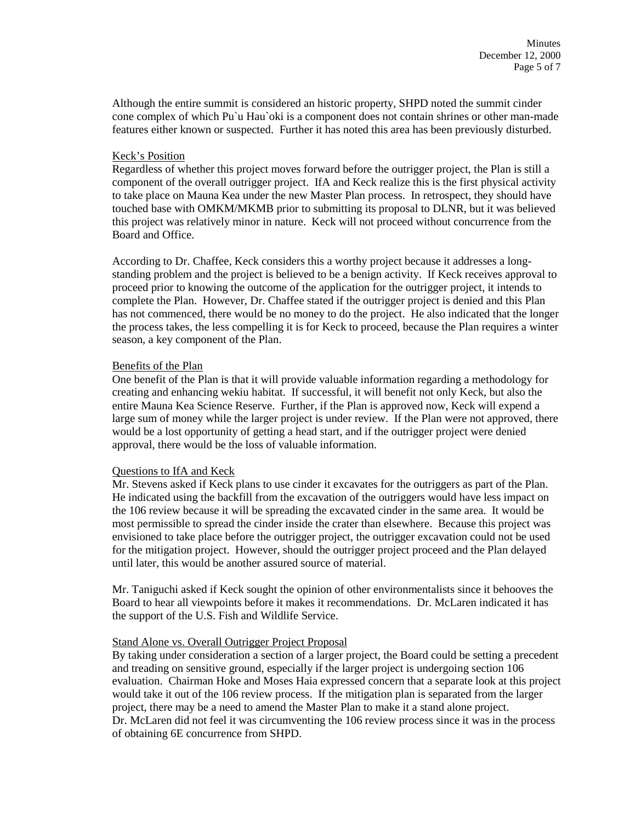Although the entire summit is considered an historic property, SHPD noted the summit cinder cone complex of which Pu`u Hau`oki is a component does not contain shrines or other man-made features either known or suspected. Further it has noted this area has been previously disturbed.

# Keck's Position

Regardless of whether this project moves forward before the outrigger project, the Plan is still a component of the overall outrigger project. IfA and Keck realize this is the first physical activity to take place on Mauna Kea under the new Master Plan process. In retrospect, they should have touched base with OMKM/MKMB prior to submitting its proposal to DLNR, but it was believed this project was relatively minor in nature. Keck will not proceed without concurrence from the Board and Office.

According to Dr. Chaffee, Keck considers this a worthy project because it addresses a longstanding problem and the project is believed to be a benign activity. If Keck receives approval to proceed prior to knowing the outcome of the application for the outrigger project, it intends to complete the Plan. However, Dr. Chaffee stated if the outrigger project is denied and this Plan has not commenced, there would be no money to do the project. He also indicated that the longer the process takes, the less compelling it is for Keck to proceed, because the Plan requires a winter season, a key component of the Plan.

#### Benefits of the Plan

One benefit of the Plan is that it will provide valuable information regarding a methodology for creating and enhancing wekiu habitat. If successful, it will benefit not only Keck, but also the entire Mauna Kea Science Reserve. Further, if the Plan is approved now, Keck will expend a large sum of money while the larger project is under review. If the Plan were not approved, there would be a lost opportunity of getting a head start, and if the outrigger project were denied approval, there would be the loss of valuable information.

# Questions to IfA and Keck

Mr. Stevens asked if Keck plans to use cinder it excavates for the outriggers as part of the Plan. He indicated using the backfill from the excavation of the outriggers would have less impact on the 106 review because it will be spreading the excavated cinder in the same area. It would be most permissible to spread the cinder inside the crater than elsewhere. Because this project was envisioned to take place before the outrigger project, the outrigger excavation could not be used for the mitigation project. However, should the outrigger project proceed and the Plan delayed until later, this would be another assured source of material.

Mr. Taniguchi asked if Keck sought the opinion of other environmentalists since it behooves the Board to hear all viewpoints before it makes it recommendations. Dr. McLaren indicated it has the support of the U.S. Fish and Wildlife Service.

# Stand Alone vs. Overall Outrigger Project Proposal

By taking under consideration a section of a larger project, the Board could be setting a precedent and treading on sensitive ground, especially if the larger project is undergoing section 106 evaluation. Chairman Hoke and Moses Haia expressed concern that a separate look at this project would take it out of the 106 review process. If the mitigation plan is separated from the larger project, there may be a need to amend the Master Plan to make it a stand alone project. Dr. McLaren did not feel it was circumventing the 106 review process since it was in the process of obtaining 6E concurrence from SHPD.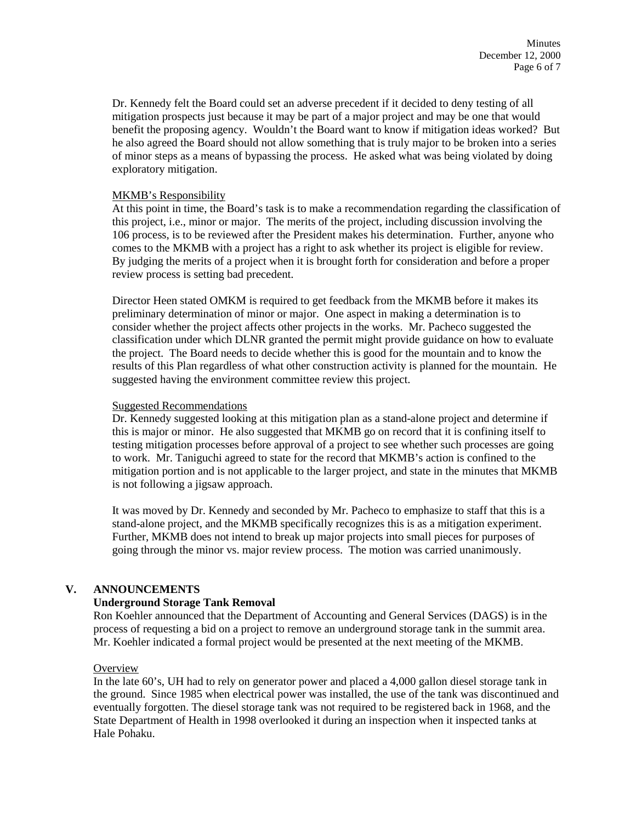Dr. Kennedy felt the Board could set an adverse precedent if it decided to deny testing of all mitigation prospects just because it may be part of a major project and may be one that would benefit the proposing agency. Wouldn't the Board want to know if mitigation ideas worked? But he also agreed the Board should not allow something that is truly major to be broken into a series of minor steps as a means of bypassing the process. He asked what was being violated by doing exploratory mitigation.

# MKMB's Responsibility

At this point in time, the Board's task is to make a recommendation regarding the classification of this project, i.e., minor or major. The merits of the project, including discussion involving the 106 process, is to be reviewed after the President makes his determination. Further, anyone who comes to the MKMB with a project has a right to ask whether its project is eligible for review. By judging the merits of a project when it is brought forth for consideration and before a proper review process is setting bad precedent.

Director Heen stated OMKM is required to get feedback from the MKMB before it makes its preliminary determination of minor or major. One aspect in making a determination is to consider whether the project affects other projects in the works. Mr. Pacheco suggested the classification under which DLNR granted the permit might provide guidance on how to evaluate the project. The Board needs to decide whether this is good for the mountain and to know the results of this Plan regardless of what other construction activity is planned for the mountain. He suggested having the environment committee review this project.

#### Suggested Recommendations

Dr. Kennedy suggested looking at this mitigation plan as a stand-alone project and determine if this is major or minor. He also suggested that MKMB go on record that it is confining itself to testing mitigation processes before approval of a project to see whether such processes are going to work. Mr. Taniguchi agreed to state for the record that MKMB's action is confined to the mitigation portion and is not applicable to the larger project, and state in the minutes that MKMB is not following a jigsaw approach.

It was moved by Dr. Kennedy and seconded by Mr. Pacheco to emphasize to staff that this is a stand-alone project, and the MKMB specifically recognizes this is as a mitigation experiment. Further, MKMB does not intend to break up major projects into small pieces for purposes of going through the minor vs. major review process. The motion was carried unanimously.

# **V. ANNOUNCEMENTS**

# **Underground Storage Tank Removal**

Ron Koehler announced that the Department of Accounting and General Services (DAGS) is in the process of requesting a bid on a project to remove an underground storage tank in the summit area. Mr. Koehler indicated a formal project would be presented at the next meeting of the MKMB.

# **Overview**

In the late 60's, UH had to rely on generator power and placed a 4,000 gallon diesel storage tank in the ground. Since 1985 when electrical power was installed, the use of the tank was discontinued and eventually forgotten. The diesel storage tank was not required to be registered back in 1968, and the State Department of Health in 1998 overlooked it during an inspection when it inspected tanks at Hale Pohaku.